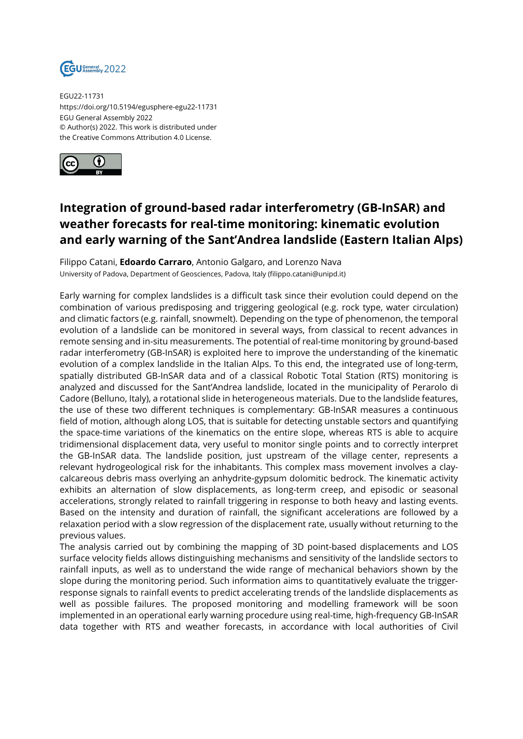

EGU22-11731 https://doi.org/10.5194/egusphere-egu22-11731 EGU General Assembly 2022 © Author(s) 2022. This work is distributed under the Creative Commons Attribution 4.0 License.



## **Integration of ground-based radar interferometry (GB-InSAR) and weather forecasts for real-time monitoring: kinematic evolution and early warning of the Sant'Andrea landslide (Eastern Italian Alps)**

Filippo Catani, **Edoardo Carraro**, Antonio Galgaro, and Lorenzo Nava University of Padova, Department of Geosciences, Padova, Italy (filippo.catani@unipd.it)

Early warning for complex landslides is a difficult task since their evolution could depend on the combination of various predisposing and triggering geological (e.g. rock type, water circulation) and climatic factors (e.g. rainfall, snowmelt). Depending on the type of phenomenon, the temporal evolution of a landslide can be monitored in several ways, from classical to recent advances in remote sensing and in-situ measurements. The potential of real-time monitoring by ground-based radar interferometry (GB-InSAR) is exploited here to improve the understanding of the kinematic evolution of a complex landslide in the Italian Alps. To this end, the integrated use of long-term, spatially distributed GB-InSAR data and of a classical Robotic Total Station (RTS) monitoring is analyzed and discussed for the Sant'Andrea landslide, located in the municipality of Perarolo di Cadore (Belluno, Italy), a rotational slide in heterogeneous materials. Due to the landslide features, the use of these two different techniques is complementary: GB-InSAR measures a continuous field of motion, although along LOS, that is suitable for detecting unstable sectors and quantifying the space-time variations of the kinematics on the entire slope, whereas RTS is able to acquire tridimensional displacement data, very useful to monitor single points and to correctly interpret the GB-InSAR data. The landslide position, just upstream of the village center, represents a relevant hydrogeological risk for the inhabitants. This complex mass movement involves a claycalcareous debris mass overlying an anhydrite-gypsum dolomitic bedrock. The kinematic activity exhibits an alternation of slow displacements, as long-term creep, and episodic or seasonal accelerations, strongly related to rainfall triggering in response to both heavy and lasting events. Based on the intensity and duration of rainfall, the significant accelerations are followed by a relaxation period with a slow regression of the displacement rate, usually without returning to the previous values.

The analysis carried out by combining the mapping of 3D point-based displacements and LOS surface velocity fields allows distinguishing mechanisms and sensitivity of the landslide sectors to rainfall inputs, as well as to understand the wide range of mechanical behaviors shown by the slope during the monitoring period. Such information aims to quantitatively evaluate the triggerresponse signals to rainfall events to predict accelerating trends of the landslide displacements as well as possible failures. The proposed monitoring and modelling framework will be soon implemented in an operational early warning procedure using real-time, high-frequency GB-InSAR data together with RTS and weather forecasts, in accordance with local authorities of Civil